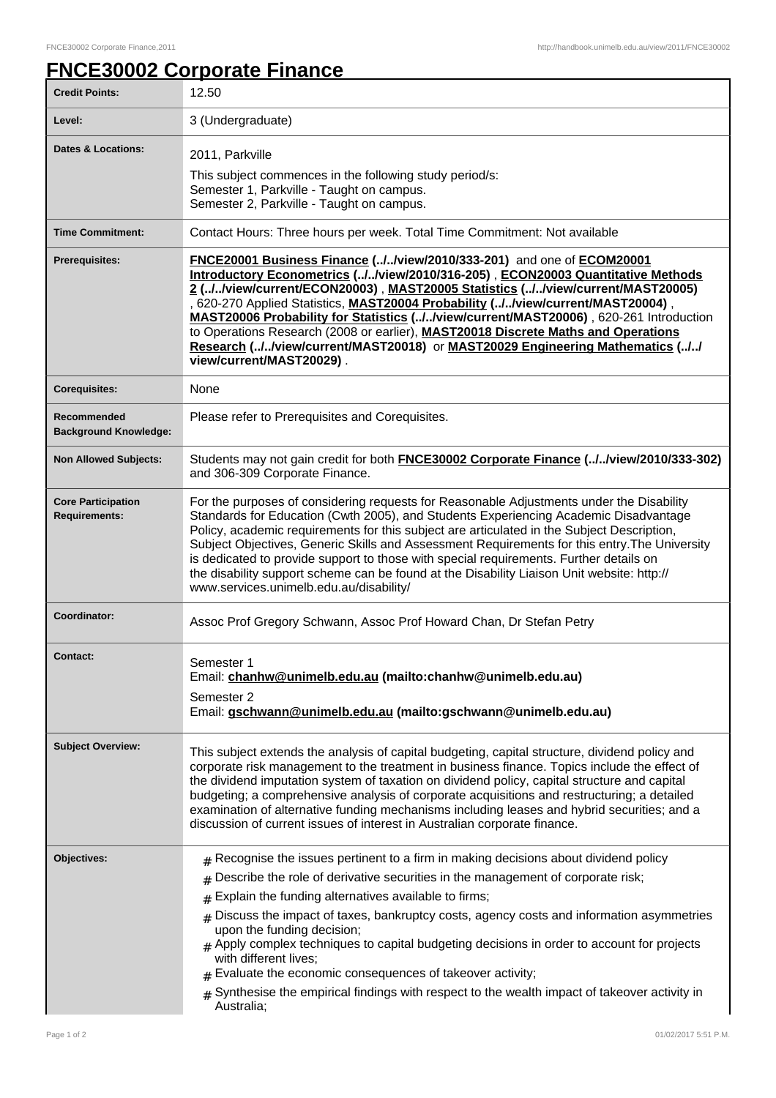## **FNCE30002 Corporate Finance**

| <b>Credit Points:</b>                             | 12.50                                                                                                                                                                                                                                                                                                                                                                                                                                                                                                                                                                                                                                                                            |
|---------------------------------------------------|----------------------------------------------------------------------------------------------------------------------------------------------------------------------------------------------------------------------------------------------------------------------------------------------------------------------------------------------------------------------------------------------------------------------------------------------------------------------------------------------------------------------------------------------------------------------------------------------------------------------------------------------------------------------------------|
| Level:                                            | 3 (Undergraduate)                                                                                                                                                                                                                                                                                                                                                                                                                                                                                                                                                                                                                                                                |
| <b>Dates &amp; Locations:</b>                     | 2011, Parkville                                                                                                                                                                                                                                                                                                                                                                                                                                                                                                                                                                                                                                                                  |
|                                                   | This subject commences in the following study period/s:<br>Semester 1, Parkville - Taught on campus.<br>Semester 2, Parkville - Taught on campus.                                                                                                                                                                                                                                                                                                                                                                                                                                                                                                                                |
| <b>Time Commitment:</b>                           | Contact Hours: Three hours per week. Total Time Commitment: Not available                                                                                                                                                                                                                                                                                                                                                                                                                                                                                                                                                                                                        |
| <b>Prerequisites:</b>                             | FNCE20001 Business Finance (//view/2010/333-201) and one of ECOM20001<br>Introductory Econometrics (//view/2010/316-205), ECON20003 Quantitative Methods<br>2 (//view/current/ECON20003), MAST20005 Statistics (//view/current/MAST20005)<br>, 620-270 Applied Statistics, MAST20004 Probability (.J.Jview/current/MAST20004),<br>MAST20006 Probability for Statistics (//view/current/MAST20006), 620-261 Introduction<br>to Operations Research (2008 or earlier), MAST20018 Discrete Maths and Operations<br>Research (//view/current/MAST20018) or MAST20029 Engineering Mathematics (//<br>view/current/MAST20029).                                                         |
| <b>Corequisites:</b>                              | None                                                                                                                                                                                                                                                                                                                                                                                                                                                                                                                                                                                                                                                                             |
| Recommended<br><b>Background Knowledge:</b>       | Please refer to Prerequisites and Corequisites.                                                                                                                                                                                                                                                                                                                                                                                                                                                                                                                                                                                                                                  |
| <b>Non Allowed Subjects:</b>                      | Students may not gain credit for both <b>FNCE30002 Corporate Finance (.J.Jview/2010/333-302)</b><br>and 306-309 Corporate Finance.                                                                                                                                                                                                                                                                                                                                                                                                                                                                                                                                               |
| <b>Core Participation</b><br><b>Requirements:</b> | For the purposes of considering requests for Reasonable Adjustments under the Disability<br>Standards for Education (Cwth 2005), and Students Experiencing Academic Disadvantage<br>Policy, academic requirements for this subject are articulated in the Subject Description,<br>Subject Objectives, Generic Skills and Assessment Requirements for this entry. The University<br>is dedicated to provide support to those with special requirements. Further details on<br>the disability support scheme can be found at the Disability Liaison Unit website: http://<br>www.services.unimelb.edu.au/disability/                                                               |
| Coordinator:                                      | Assoc Prof Gregory Schwann, Assoc Prof Howard Chan, Dr Stefan Petry                                                                                                                                                                                                                                                                                                                                                                                                                                                                                                                                                                                                              |
| <b>Contact:</b>                                   | Semester 1<br>Email: chanhw@unimelb.edu.au (mailto:chanhw@unimelb.edu.au)<br>Semester 2<br>Email: gschwann@unimelb.edu.au (mailto:gschwann@unimelb.edu.au)                                                                                                                                                                                                                                                                                                                                                                                                                                                                                                                       |
| <b>Subject Overview:</b>                          | This subject extends the analysis of capital budgeting, capital structure, dividend policy and<br>corporate risk management to the treatment in business finance. Topics include the effect of<br>the dividend imputation system of taxation on dividend policy, capital structure and capital<br>budgeting; a comprehensive analysis of corporate acquisitions and restructuring; a detailed<br>examination of alternative funding mechanisms including leases and hybrid securities; and a<br>discussion of current issues of interest in Australian corporate finance.                                                                                                        |
| Objectives:                                       | $#$ Recognise the issues pertinent to a firm in making decisions about dividend policy<br>Describe the role of derivative securities in the management of corporate risk;<br>#<br>Explain the funding alternatives available to firms;<br>#<br>Discuss the impact of taxes, bankruptcy costs, agency costs and information asymmetries<br>#<br>upon the funding decision;<br>$#$ Apply complex techniques to capital budgeting decisions in order to account for projects<br>with different lives;<br>Evaluate the economic consequences of takeover activity;<br>Synthesise the empirical findings with respect to the wealth impact of takeover activity in<br>#<br>Australia; |